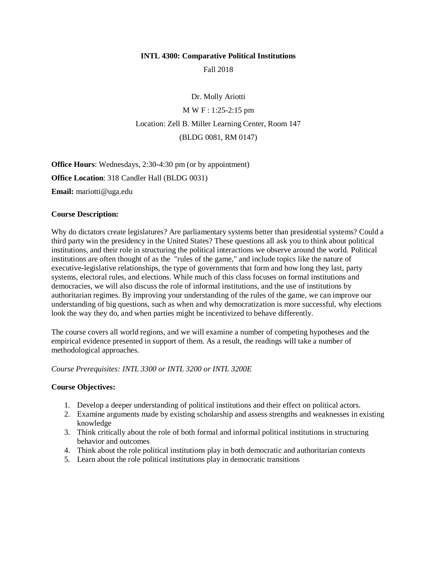#### **INTL 4300: Comparative Political Institutions**

Fall 2018

Dr. Molly Ariotti M W F : 1:25-2:15 pm Location: Zell B. Miller Learning Center, Room 147 (BLDG 0081, RM 0147)

**Office Hours**: Wednesdays, 2:30-4:30 pm (or by appointment) **Office Location**: 318 Candler Hall (BLDG 0031) **Email:** mariotti@uga.edu

### **Course Description:**

Why do dictators create legislatures? Are parliamentary systems better than presidential systems? Could a third party win the presidency in the United States? These questions all ask you to think about political institutions, and their role in structuring the political interactions we observe around the world. Political institutions are often thought of as the "rules of the game," and include topics like the nature of executive-legislative relationships, the type of governments that form and how long they last, party systems, electoral rules, and elections. While much of this class focuses on formal institutions and democracies, we will also discuss the role of informal institutions, and the use of institutions by authoritarian regimes. By improving your understanding of the rules of the game, we can improve our understanding of big questions, such as when and why democratization is more successful, why elections look the way they do, and when parties might be incentivized to behave differently.

The course covers all world regions, and we will examine a number of competing hypotheses and the empirical evidence presented in support of them. As a result, the readings will take a number of methodological approaches.

*Course Prerequisites: INTL 3300 or INTL 3200 or INTL 3200E*

#### **Course Objectives:**

- 1. Develop a deeper understanding of political institutions and their effect on political actors.
- 2. Examine arguments made by existing scholarship and assess strengths and weaknesses in existing knowledge
- 3. Think critically about the role of both formal and informal political institutions in structuring behavior and outcomes
- 4. Think about the role political institutions play in both democratic and authoritarian contexts
- 5. Learn about the role political institutions play in democratic transitions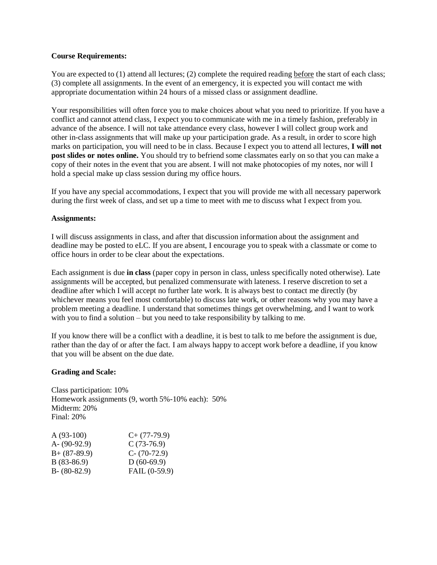#### **Course Requirements:**

You are expected to (1) attend all lectures; (2) complete the required reading before the start of each class; (3) complete all assignments. In the event of an emergency, it is expected you will contact me with appropriate documentation within 24 hours of a missed class or assignment deadline.

Your responsibilities will often force you to make choices about what you need to prioritize. If you have a conflict and cannot attend class, I expect you to communicate with me in a timely fashion, preferably in advance of the absence. I will not take attendance every class, however I will collect group work and other in-class assignments that will make up your participation grade. As a result, in order to score high marks on participation, you will need to be in class. Because I expect you to attend all lectures, **I will not post slides or notes online.** You should try to befriend some classmates early on so that you can make a copy of their notes in the event that you are absent. I will not make photocopies of my notes, nor will I hold a special make up class session during my office hours.

If you have any special accommodations, I expect that you will provide me with all necessary paperwork during the first week of class, and set up a time to meet with me to discuss what I expect from you.

#### **Assignments:**

I will discuss assignments in class, and after that discussion information about the assignment and deadline may be posted to eLC. If you are absent, I encourage you to speak with a classmate or come to office hours in order to be clear about the expectations.

Each assignment is due **in class** (paper copy in person in class, unless specifically noted otherwise). Late assignments will be accepted, but penalized commensurate with lateness. I reserve discretion to set a deadline after which I will accept no further late work. It is always best to contact me directly (by whichever means you feel most comfortable) to discuss late work, or other reasons why you may have a problem meeting a deadline. I understand that sometimes things get overwhelming, and I want to work with you to find a solution – but you need to take responsibility by talking to me.

If you know there will be a conflict with a deadline, it is best to talk to me before the assignment is due, rather than the day of or after the fact. I am always happy to accept work before a deadline, if you know that you will be absent on the due date.

#### **Grading and Scale:**

Class participation: 10% Homework assignments (9, worth 5%-10% each): 50% Midterm: 20% Final: 20%

| $A(93-100)$     | $C+$ (77-79.9)  |
|-----------------|-----------------|
| A- $(90-92.9)$  | $C(73-76.9)$    |
| $B+ (87-89.9)$  | $C - (70-72.9)$ |
| $B(83-86.9)$    | $D(60-69.9)$    |
| $B - (80-82.9)$ | FAIL (0-59.9)   |
|                 |                 |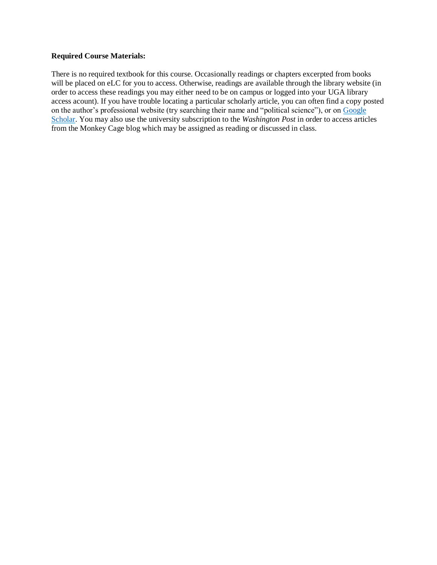#### **Required Course Materials:**

There is no required textbook for this course. Occasionally readings or chapters excerpted from books will be placed on eLC for you to access. Otherwise, readings are available through the library website (in order to access these readings you may either need to be on campus or logged into your UGA library access acount). If you have trouble locating a particular scholarly article, you can often find a copy posted on the author's professional website (try searching their name and "political science"), or on [Google](http://scholar.google.com/)  [Scholar.](http://scholar.google.com/) You may also use the university subscription to the *Washington Post* in order to access articles from the Monkey Cage blog which may be assigned as reading or discussed in class.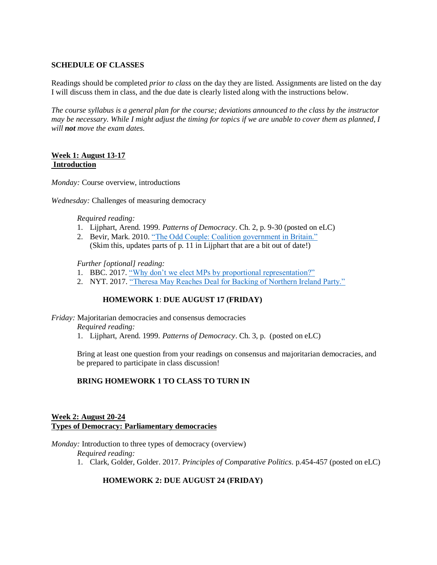### **SCHEDULE OF CLASSES**

Readings should be completed *prior to class* on the day they are listed. Assignments are listed on the day I will discuss them in class, and the due date is clearly listed along with the instructions below.

*The course syllabus is a general plan for the course; deviations announced to the class by the instructor may be necessary. While I might adjust the timing for topics if we are unable to cover them as planned, I will not move the exam dates.*

### **Week 1: August 13-17 Introduction**

*Monday:* Course overview, introductions

*Wednesday:* Challenges of measuring democracy

*Required reading:*

- 1. Lijphart, Arend. 1999. *Patterns of Democracy*. Ch. 2, p. 9-30 (posted on eLC)
- 2. Bevir, Mark. 2010. ["The Odd Couple: Coalition government in Britain."](http://blogs.berkeley.edu/2010/05/14/the-odd-couple-coalition-government-in-britain/) (Skim this, updates parts of p. 11 in Lijphart that are a bit out of date!)

*Further [optional] reading:*

- 1. BBC. 2017. ["Why don't we elect MPs by proportional representation?"](https://www.bbc.co.uk/news/uk-england-39847512)
- 2. NYT. 2017. ["Theresa May Reaches Deal for Backing of Northern Ireland Party."](https://www.nytimes.com/2017/06/26/world/europe/uk-dup-deal-conservatives.html)

# **HOMEWORK 1**: **DUE AUGUST 17 (FRIDAY)**

*Friday:* Majoritarian democracies and consensus democracies *Required reading:*

1. Lijphart, Arend. 1999. *Patterns of Democracy*. Ch. 3, p. (posted on eLC)

Bring at least one question from your readings on consensus and majoritarian democracies, and be prepared to participate in class discussion!

### **BRING HOMEWORK 1 TO CLASS TO TURN IN**

### **Week 2: August 20-24 Types of Democracy: Parliamentary democracies**

*Monday:* Introduction to three types of democracy (overview)

*Required reading:*

1. Clark, Golder, Golder. 2017. *Principles of Comparative Politics*. p.454-457 (posted on eLC)

### **HOMEWORK 2: DUE AUGUST 24 (FRIDAY)**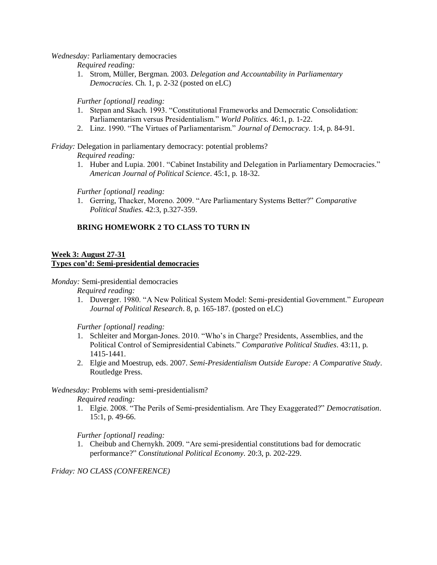*Wednesday:* Parliamentary democracies

*Required reading:*

1. Strom, Müller, Bergman. 2003. *Delegation and Accountability in Parliamentary Democracies.* Ch. 1, p. 2-32 (posted on eLC)

*Further [optional] reading:*

- 1. Stepan and Skach. 1993. "Constitutional Frameworks and Democratic Consolidation: Parliamentarism versus Presidentialism." *World Politics.* 46:1, p. 1-22.
- 2. Linz. 1990. "The Virtues of Parliamentarism." *Journal of Democracy.* 1:4, p. 84-91.

*Friday:* Delegation in parliamentary democracy: potential problems?

*Required reading:*

1. Huber and Lupia. 2001. "Cabinet Instability and Delegation in Parliamentary Democracies." *American Journal of Political Science*. 45:1, p. 18-32.

*Further [optional] reading:*

1. Gerring, Thacker, Moreno. 2009. "Are Parliamentary Systems Better?" *Comparative Political Studies.* 42:3, p.327-359.

# **BRING HOMEWORK 2 TO CLASS TO TURN IN**

### **Week 3: August 27-31 Types con'd: Semi-presidential democracies**

*Monday:* Semi-presidential democracies

*Required reading:*

1. Duverger. 1980. "A New Political System Model: Semi-presidential Government." *European Journal of Political Research*. 8, p. 165-187. (posted on eLC)

*Further [optional] reading:*

- 1. Schleiter and Morgan-Jones. 2010. "Who's in Charge? Presidents, Assemblies, and the Political Control of Semipresidential Cabinets." *Comparative Political Studies*. 43:11, p. 1415-1441.
- 2. Elgie and Moestrup, eds. 2007. *Semi-Presidentialism Outside Europe: A Comparative Study*. Routledge Press.

# *Wednesday:* Problems with semi-presidentialism?

*Required reading:*

1. Elgie. 2008. "The Perils of Semi-presidentialism. Are They Exaggerated?" *Democratisation*. 15:1, p. 49-66.

*Further [optional] reading:*

1. Cheibub and Chernykh. 2009. "Are semi-presidential constitutions bad for democratic performance?" *Constitutional Political Economy.* 20:3, p. 202-229.

*Friday: NO CLASS (CONFERENCE)*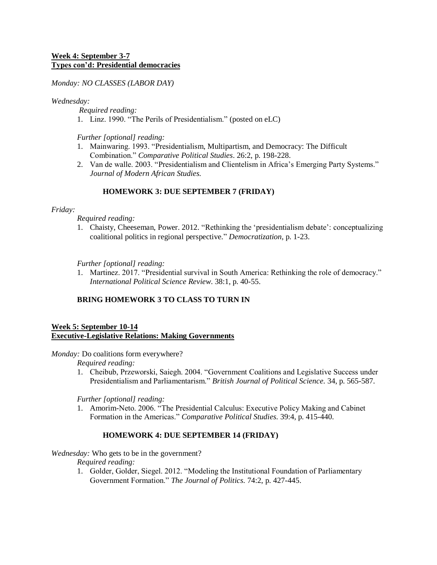### **Week 4: September 3-7 Types con'd: Presidential democracies**

*Monday: NO CLASSES (LABOR DAY)*

*Wednesday:* 

*Required reading:*

1. Linz. 1990. "The Perils of Presidentialism." (posted on eLC)

*Further [optional] reading:*

- 1. Mainwaring. 1993. "Presidentialism, Multipartism, and Democracy: The Difficult Combination." *Comparative Political Studies*. 26:2, p. 198-228.
- 2. Van de walle. 2003. "Presidentialism and Clientelism in Africa's Emerging Party Systems." *Journal of Modern African Studies.*

# **HOMEWORK 3: DUE SEPTEMBER 7 (FRIDAY)**

### *Friday:*

*Required reading:*

1. Chaisty, Cheeseman, Power. 2012. "Rethinking the 'presidentialism debate': conceptualizing coalitional politics in regional perspective." *Democratization*, p. 1-23.

*Further [optional] reading:*

1. Martinez. 2017. "Presidential survival in South America: Rethinking the role of democracy." *International Political Science Review*. 38:1, p. 40-55.

# **BRING HOMEWORK 3 TO CLASS TO TURN IN**

#### **Week 5: September 10-14 Executive-Legislative Relations: Making Governments**

*Monday:* Do coalitions form everywhere?

*Required reading:*

1. Cheibub, Przeworski, Saiegh. 2004. "Government Coalitions and Legislative Success under Presidentialism and Parliamentarism." *British Journal of Political Science.* 34, p. 565-587.

*Further [optional] reading:*

1. Amorim-Neto. 2006. "The Presidential Calculus: Executive Policy Making and Cabinet Formation in the Americas." *Comparative Political Studies.* 39:4, p. 415-440.

# **HOMEWORK 4: DUE SEPTEMBER 14 (FRIDAY)**

# *Wednesday:* Who gets to be in the government?

*Required reading:*

1. Golder, Golder, Siegel. 2012. "Modeling the Institutional Foundation of Parliamentary Government Formation." *The Journal of Politics.* 74:2, p. 427-445.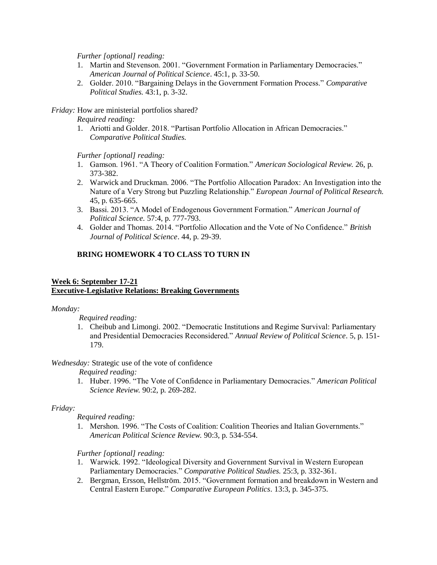*Further [optional] reading:*

- 1. Martin and Stevenson. 2001. "Government Formation in Parliamentary Democracies." *American Journal of Political Science*. 45:1, p. 33-50.
- 2. Golder. 2010. "Bargaining Delays in the Government Formation Process." *Comparative Political Studies.* 43:1, p. 3-32.

*Friday:* How are ministerial portfolios shared?

*Required reading:*

1. Ariotti and Golder. 2018. "Partisan Portfolio Allocation in African Democracies." *Comparative Political Studies.*

*Further [optional] reading:*

- 1. Gamson. 1961. "A Theory of Coalition Formation." *American Sociological Review.* 26, p. 373-382.
- 2. Warwick and Druckman. 2006. "The Portfolio Allocation Paradox: An Investigation into the Nature of a Very Strong but Puzzling Relationship." *European Journal of Political Research.* 45, p. 635-665.
- 3. Bassi. 2013. "A Model of Endogenous Government Formation." *American Journal of Political Science.* 57:4, p. 777-793.
- 4. Golder and Thomas. 2014. "Portfolio Allocation and the Vote of No Confidence." *British Journal of Political Science*. 44, p. 29-39.

# **BRING HOMEWORK 4 TO CLASS TO TURN IN**

### **Week 6: September 17-21 Executive-Legislative Relations: Breaking Governments**

*Monday:*

*Required reading:*

1. Cheibub and Limongi. 2002. "Democratic Institutions and Regime Survival: Parliamentary and Presidential Democracies Reconsidered." *Annual Review of Political Science*. 5, p. 151- 179.

*Wednesday:* Strategic use of the vote of confidence

*Required reading:*

1. Huber. 1996. "The Vote of Confidence in Parliamentary Democracies." *American Political Science Review.* 90:2, p. 269-282.

# *Friday:*

*Required reading:*

1. Mershon. 1996. "The Costs of Coalition: Coalition Theories and Italian Governments." *American Political Science Review.* 90:3, p. 534-554.

*Further [optional] reading:*

- 1. Warwick. 1992. "Ideological Diversity and Government Survival in Western European Parliamentary Democracies." *Comparative Political Studies.* 25:3, p. 332-361.
- 2. Bergman, Ersson, Hellström. 2015. "Government formation and breakdown in Western and Central Eastern Europe." *Comparative European Politics*. 13:3, p. 345-375.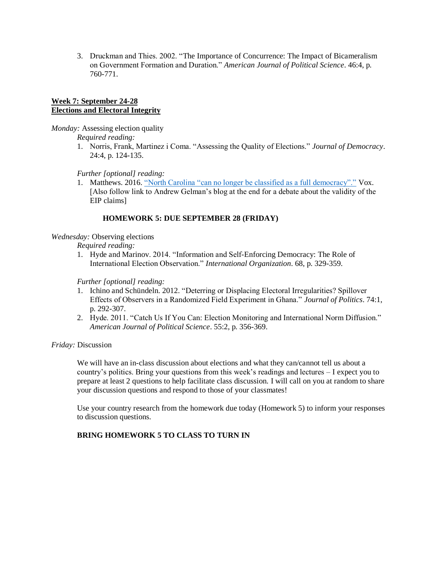3. Druckman and Thies. 2002. "The Importance of Concurrence: The Impact of Bicameralism on Government Formation and Duration." *American Journal of Political Science*. 46:4, p. 760-771.

### **Week 7: September 24-28 Elections and Electoral Integrity**

*Monday:* Assessing election quality

*Required reading:*

1. Norris, Frank, Martinez i Coma. "Assessing the Quality of Elections." *Journal of Democracy*. 24:4, p. 124-135.

*Further [optional] reading:*

1. Matthews. 2016. ["North Carolina "can no longer be classified as a full democracy"."](https://www.vox.com/policy-and-politics/2016/12/27/14078646/north-carolina-political-science-democracy) Vox. [Also follow link to Andrew Gelman's blog at the end for a debate about the validity of the EIP claims]

### **HOMEWORK 5: DUE SEPTEMBER 28 (FRIDAY)**

### *Wednesday:* Observing elections

*Required reading:*

1. Hyde and Marinov. 2014. "Information and Self-Enforcing Democracy: The Role of International Election Observation." *International Organization*. 68, p. 329-359.

*Further [optional] reading:*

- 1. Ichino and Schündeln. 2012. "Deterring or Displacing Electoral Irregularities? Spillover Effects of Observers in a Randomized Field Experiment in Ghana." *Journal of Politics*. 74:1, p. 292-307.
- 2. Hyde. 2011. "Catch Us If You Can: Election Monitoring and International Norm Diffusion." *American Journal of Political Science*. 55:2, p. 356-369.

*Friday:* Discussion

We will have an in-class discussion about elections and what they can/cannot tell us about a country's politics. Bring your questions from this week's readings and lectures – I expect you to prepare at least 2 questions to help facilitate class discussion. I will call on you at random to share your discussion questions and respond to those of your classmates!

Use your country research from the homework due today (Homework 5) to inform your responses to discussion questions.

# **BRING HOMEWORK 5 TO CLASS TO TURN IN**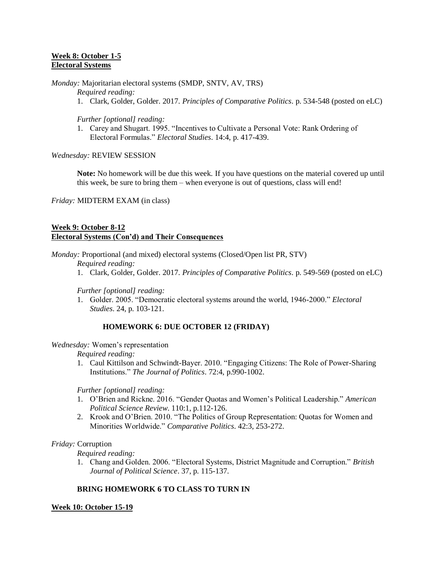### **Week 8: October 1-5 Electoral Systems**

*Monday:* Majoritarian electoral systems (SMDP, SNTV, AV, TRS)

*Required reading:*

1. Clark, Golder, Golder. 2017. *Principles of Comparative Politics*. p. 534-548 (posted on eLC)

*Further [optional] reading:*

1. Carey and Shugart. 1995. "Incentives to Cultivate a Personal Vote: Rank Ordering of Electoral Formulas." *Electoral Studies*. 14:4, p. 417-439.

*Wednesday:* REVIEW SESSION

**Note:** No homework will be due this week. If you have questions on the material covered up until this week, be sure to bring them – when everyone is out of questions, class will end!

*Friday:* MIDTERM EXAM (in class)

### **Week 9: October 8-12 Electoral Systems (Con'd) and Their Consequences**

*Monday:* Proportional (and mixed) electoral systems (Closed/Open list PR, STV)

*Required reading:*

1. Clark, Golder, Golder. 2017. *Principles of Comparative Politics*. p. 549-569 (posted on eLC)

*Further [optional] reading:*

1. Golder. 2005. "Democratic electoral systems around the world, 1946-2000." *Electoral Studies*. 24, p. 103-121.

### **HOMEWORK 6: DUE OCTOBER 12 (FRIDAY)**

#### *Wednesday:* Women's representation

*Required reading:*

1. Caul Kittilson and Schwindt-Bayer. 2010. "Engaging Citizens: The Role of Power-Sharing Institutions." *The Journal of Politics*. 72:4, p.990-1002.

*Further [optional] reading:*

- 1. O'Brien and Rickne. 2016. "Gender Quotas and Women's Political Leadership." *American Political Science Review*. 110:1, p.112-126.
- 2. Krook and O'Brien. 2010. "The Politics of Group Representation: Quotas for Women and Minorities Worldwide." *Comparative Politics*. 42:3, 253-272.

### *Friday:* Corruption

*Required reading:*

1. Chang and Golden. 2006. "Electoral Systems, District Magnitude and Corruption." *British Journal of Political Science*. 37, p. 115-137.

# **BRING HOMEWORK 6 TO CLASS TO TURN IN**

#### **Week 10: October 15-19**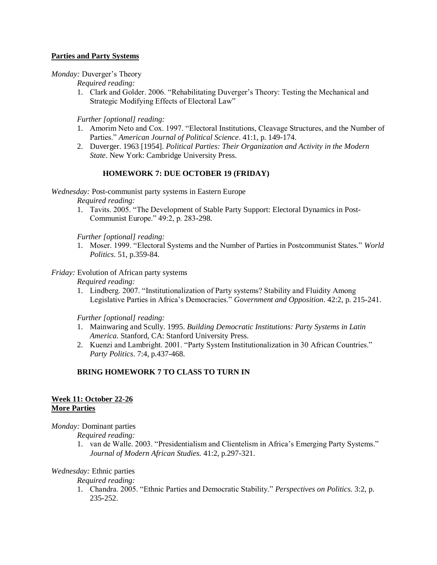### **Parties and Party Systems**

*Monday:* Duverger's Theory

*Required reading:*

1. Clark and Golder. 2006. "Rehabilitating Duverger's Theory: Testing the Mechanical and Strategic Modifying Effects of Electoral Law"

*Further [optional] reading:*

- 1. Amorim Neto and Cox. 1997. "Electoral Institutions, Cleavage Structures, and the Number of Parties." *American Journal of Political Science*. 41:1, p. 149-174.
- 2. Duverger. 1963 [1954]. *Political Parties: Their Organization and Activity in the Modern State*. New York: Cambridge University Press.

# **HOMEWORK 7: DUE OCTOBER 19 (FRIDAY)**

*Wednesday:* Post-communist party systems in Eastern Europe

*Required reading:*

1. Tavits. 2005. "The Development of Stable Party Support: Electoral Dynamics in Post-Communist Europe." 49:2, p. 283-298.

*Further [optional] reading:*

1. Moser. 1999. "Electoral Systems and the Number of Parties in Postcommunist States." *World Politics*. 51, p.359-84.

### *Friday:* Evolution of African party systems

*Required reading:*

1. Lindberg. 2007. "Institutionalization of Party systems? Stability and Fluidity Among Legislative Parties in Africa's Democracies." *Government and Opposition*. 42:2, p. 215-241.

*Further [optional] reading:*

- 1. Mainwaring and Scully. 1995. *Building Democratic Institutions: Party Systems in Latin America*. Stanford, CA: Stanford University Press.
- 2. Kuenzi and Lambright. 2001. "Party System Institutionalization in 30 African Countries." *Party Politics*. 7:4, p.437-468.

# **BRING HOMEWORK 7 TO CLASS TO TURN IN**

### **Week 11: October 22-26 More Parties**

*Monday:* Dominant parties

*Required reading:*

1. van de Walle. 2003. "Presidentialism and Clientelism in Africa's Emerging Party Systems." *Journal of Modern African Studies.* 41:2, p.297-321.

### *Wednesday:* Ethnic parties

*Required reading:*

1. Chandra. 2005. "Ethnic Parties and Democratic Stability." *Perspectives on Politics.* 3:2, p. 235-252.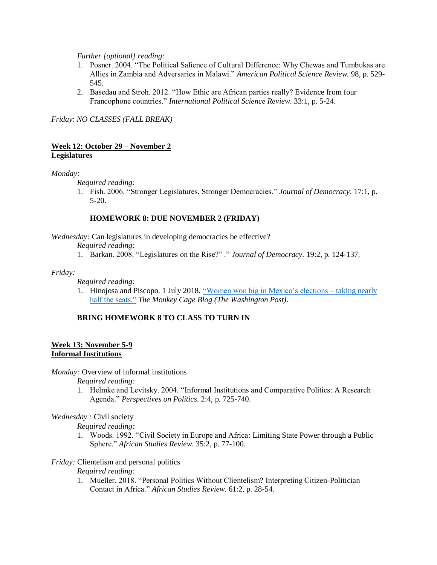*Further [optional] reading:*

- 1. Posner. 2004. "The Political Salience of Cultural Difference: Why Chewas and Tumbukas are Allies in Zambia and Adversaries in Malawi." *American Political Science Review.* 98, p. 529- 545.
- 2. Basedau and Stroh. 2012. "How Ethic are African parties really? Evidence from four Francophone countries." *International Political Science Review*. 33:1, p. 5-24.

*Friday*: *NO CLASSES (FALL BREAK)*

### **Week 12: October 29 – November 2 Legislatures**

#### *Monday:*

*Required reading:*

1. Fish. 2006. "Stronger Legislatures, Stronger Democracies." *Journal of Democracy*. 17:1, p. 5-20.

### **HOMEWORK 8: DUE NOVEMBER 2 (FRIDAY)**

*Wednesday:* Can legislatures in developing democracies be effective?

*Required reading:*

1. Barkan. 2008. "Legislatures on the Rise?" ." *Journal of Democracy.* 19:2, p. 124-137.

#### *Friday:*

*Required reading:*

1. Hinojosa and Piscopo. 1 July 2018. ["Women won big in Mexico's elections –](https://www.washingtonpost.com/news/monkey-cage/wp/2018/07/11/women-won-big-in-mexicos-elections-taking-nearly-half-the-legislatures-seats-heres-why/?utm_term=.96d8460280e6) taking nearly [half the seats."](https://www.washingtonpost.com/news/monkey-cage/wp/2018/07/11/women-won-big-in-mexicos-elections-taking-nearly-half-the-legislatures-seats-heres-why/?utm_term=.96d8460280e6) *The Monkey Cage Blog (The Washington Post).*

# **BRING HOMEWORK 8 TO CLASS TO TURN IN**

#### **Week 13: November 5-9 Informal Institutions**

*Monday:* Overview of informal institutions

*Required reading:*

1. Helmke and Levitsky. 2004. "Informal Institutions and Comparative Politics: A Research Agenda." *Perspectives on Politics*. 2:4, p. 725-740.

### *Wednesday :* Civil society

*Required reading:*

1. Woods. 1992. "Civil Society in Europe and Africa: Limiting State Power through a Public Sphere." *African Studies Review*. 35:2, p. 77-100.

### *Friday:* Clientelism and personal politics

*Required reading:*

1. Mueller. 2018. "Personal Politics Without Clientelism? Interpreting Citizen-Politician Contact in Africa." *African Studies Review*. 61:2, p. 28-54.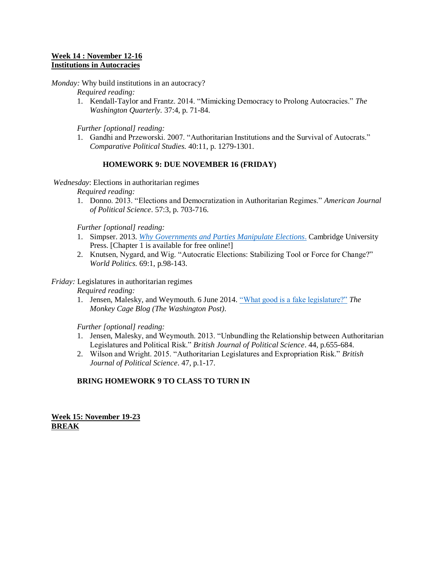### **Week 14 : November 12-16 Institutions in Autocracies**

*Monday:* Why build institutions in an autocracy?

*Required reading:*

1. Kendall-Taylor and Frantz. 2014. "Mimicking Democracy to Prolong Autocracies." *The Washington Quarterly.* 37:4, p. 71-84.

*Further [optional] reading:*

1. Gandhi and Przeworski. 2007. "Authoritarian Institutions and the Survival of Autocrats." *Comparative Political Studies.* 40:11, p. 1279-1301.

# **HOMEWORK 9: DUE NOVEMBER 16 (FRIDAY)**

*Wednesday*: Elections in authoritarian regimes

*Required reading:*

1. Donno. 2013. "Elections and Democratization in Authoritarian Regimes." *American Journal of Political Science*. 57:3, p. 703-716.

*Further [optional] reading:*

- 1. Simpser. 2013. *[Why Governments and Parties Manipulate Elections](https://docs.wixstatic.com/ugd/ffc6ec_8737cee9f3cb450596ce59e144e8eb1e.pdf)*. Cambridge University Press. [Chapter 1 is available for free online!]
- 2. Knutsen, Nygard, and Wig. "Autocratic Elections: Stabilizing Tool or Force for Change?" *World Politics.* 69:1, p.98-143.

### *Friday:* Legislatures in authoritarian regimes

*Required reading:*

1. Jensen, Malesky, and Weymouth. 6 June 2014. ["What good is a fake legislature?"](https://www.washingtonpost.com/news/monkey-cage/wp/2014/06/06/what-good-is-a-fake-legislature/?utm_term=.7b3152b28500) *The Monkey Cage Blog (The Washington Post).*

*Further [optional] reading:*

- 1. Jensen, Malesky, and Weymouth. 2013. "Unbundling the Relationship between Authoritarian Legislatures and Political Risk." *British Journal of Political Science*. 44, p.655-684.
- 2. Wilson and Wright. 2015. "Authoritarian Legislatures and Expropriation Risk." *British Journal of Political Science*. 47, p.1-17.

# **BRING HOMEWORK 9 TO CLASS TO TURN IN**

**Week 15: November 19-23 BREAK**